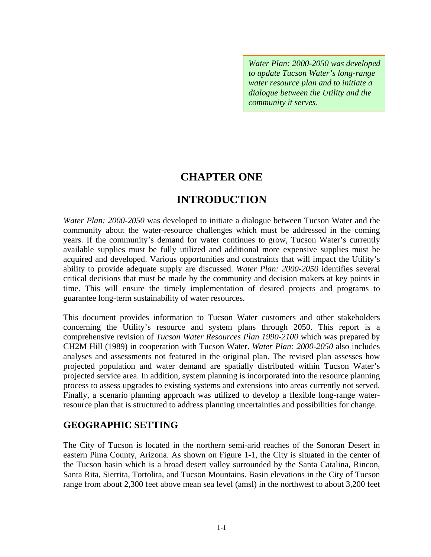*Water Plan: 2000-2050 was developed to update Tucson Water's long-range water resource plan and to initiate a dialogue between the Utility and the community it serves.* 

## **CHAPTER ONE**

# **INTRODUCTION**

*Water Plan: 2000-2050* was developed to initiate a dialogue between Tucson Water and the community about the water-resource challenges which must be addressed in the coming years. If the community's demand for water continues to grow, Tucson Water's currently available supplies must be fully utilized and additional more expensive supplies must be acquired and developed. Various opportunities and constraints that will impact the Utility's ability to provide adequate supply are discussed. *Water Plan: 2000-2050* identifies several critical decisions that must be made by the community and decision makers at key points in time. This will ensure the timely implementation of desired projects and programs to guarantee long-term sustainability of water resources.

This document provides information to Tucson Water customers and other stakeholders concerning the Utility's resource and system plans through 2050. This report is a comprehensive revision of *Tucson Water Resources Plan 1990-2100* which was prepared by CH2M Hill (1989) in cooperation with Tucson Water. *Water Plan: 2000-2050* also includes analyses and assessments not featured in the original plan. The revised plan assesses how projected population and water demand are spatially distributed within Tucson Water's projected service area. In addition, system planning is incorporated into the resource planning process to assess upgrades to existing systems and extensions into areas currently not served. Finally, a scenario planning approach was utilized to develop a flexible long-range waterresource plan that is structured to address planning uncertainties and possibilities for change.

## **GEOGRAPHIC SETTING**

The City of Tucson is located in the northern semi-arid reaches of the Sonoran Desert in eastern Pima County, Arizona. As shown on Figure 1-1, the City is situated in the center of the Tucson basin which is a broad desert valley surrounded by the Santa Catalina, Rincon, Santa Rita, Sierrita, Tortolita, and Tucson Mountains. Basin elevations in the City of Tucson range from about 2,300 feet above mean sea level (amsl) in the northwest to about 3,200 feet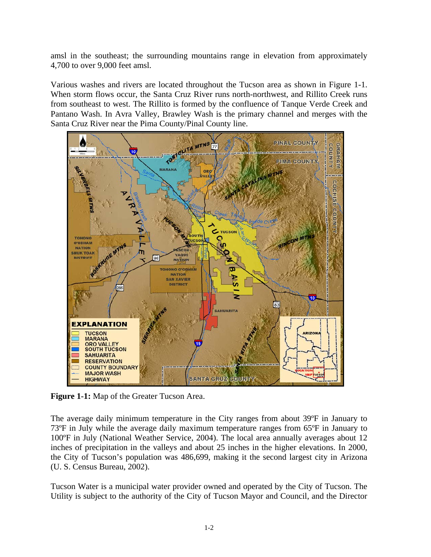amsl in the southeast; the surrounding mountains range in elevation from approximately 4,700 to over 9,000 feet amsl.

Various washes and rivers are located throughout the Tucson area as shown in Figure 1-1. When storm flows occur, the Santa Cruz River runs north-northwest, and Rillito Creek runs from southeast to west. The Rillito is formed by the confluence of Tanque Verde Creek and Pantano Wash. In Avra Valley, Brawley Wash is the primary channel and merges with the Santa Cruz River near the Pima County/Pinal County line.



**Figure 1-1:** Map of the Greater Tucson Area.

The average daily minimum temperature in the City ranges from about 39ºF in January to 73ºF in July while the average daily maximum temperature ranges from 65ºF in January to 100ºF in July (National Weather Service, 2004). The local area annually averages about 12 inches of precipitation in the valleys and about 25 inches in the higher elevations. In 2000, the City of Tucson's population was 486,699, making it the second largest city in Arizona (U. S. Census Bureau, 2002).

Tucson Water is a municipal water provider owned and operated by the City of Tucson. The Utility is subject to the authority of the City of Tucson Mayor and Council, and the Director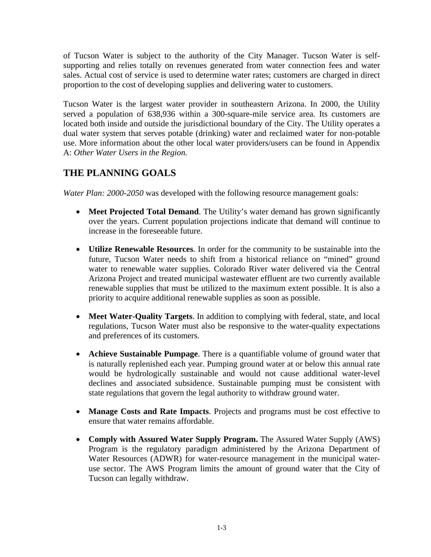of Tucson Water is subject to the authority of the City Manager. Tucson Water is selfsupporting and relies totally on revenues generated from water connection fees and water sales. Actual cost of service is used to determine water rates; customers are charged in direct proportion to the cost of developing supplies and delivering water to customers.

Tucson Water is the largest water provider in southeastern Arizona. In 2000, the Utility served a population of 638,936 within a 300-square-mile service area. Its customers are located both inside and outside the jurisdictional boundary of the City. The Utility operates a dual water system that serves potable (drinking) water and reclaimed water for non-potable use. More information about the other local water providers/users can be found in Appendix A: *Other Water Users in the Region.*

## **THE PLANNING GOALS**

*Water Plan: 2000-2050* was developed with the following resource management goals:

- **Meet Projected Total Demand**. The Utility's water demand has grown significantly over the years. Current population projections indicate that demand will continue to increase in the foreseeable future.
- **Utilize Renewable Resources**. In order for the community to be sustainable into the future, Tucson Water needs to shift from a historical reliance on "mined" ground water to renewable water supplies. Colorado River water delivered via the Central Arizona Project and treated municipal wastewater effluent are two currently available renewable supplies that must be utilized to the maximum extent possible. It is also a priority to acquire additional renewable supplies as soon as possible.
- **Meet Water-Quality Targets**. In addition to complying with federal, state, and local regulations, Tucson Water must also be responsive to the water-quality expectations and preferences of its customers.
- **Achieve Sustainable Pumpage**. There is a quantifiable volume of ground water that is naturally replenished each year. Pumping ground water at or below this annual rate would be hydrologically sustainable and would not cause additional water-level declines and associated subsidence. Sustainable pumping must be consistent with state regulations that govern the legal authority to withdraw ground water.
- **Manage Costs and Rate Impacts**. Projects and programs must be cost effective to ensure that water remains affordable.
- **Comply with Assured Water Supply Program.** The Assured Water Supply (AWS) Program is the regulatory paradigm administered by the Arizona Department of Water Resources (ADWR) for water-resource management in the municipal wateruse sector. The AWS Program limits the amount of ground water that the City of Tucson can legally withdraw.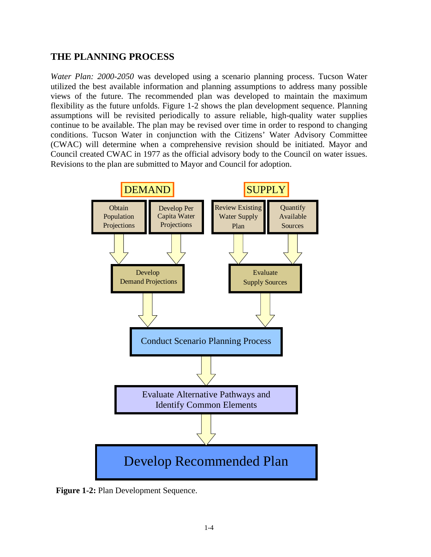#### **THE PLANNING PROCESS**

*Water Plan: 2000-2050* was developed using a scenario planning process. Tucson Water utilized the best available information and planning assumptions to address many possible views of the future. The recommended plan was developed to maintain the maximum flexibility as the future unfolds. Figure 1-2 shows the plan development sequence. Planning assumptions will be revisited periodically to assure reliable, high-quality water supplies continue to be available. The plan may be revised over time in order to respond to changing conditions. Tucson Water in conjunction with the Citizens' Water Advisory Committee (CWAC) will determine when a comprehensive revision should be initiated. Mayor and Council created CWAC in 1977 as the official advisory body to the Council on water issues. Revisions to the plan are submitted to Mayor and Council for adoption.



**Figure 1-2:** Plan Development Sequence.